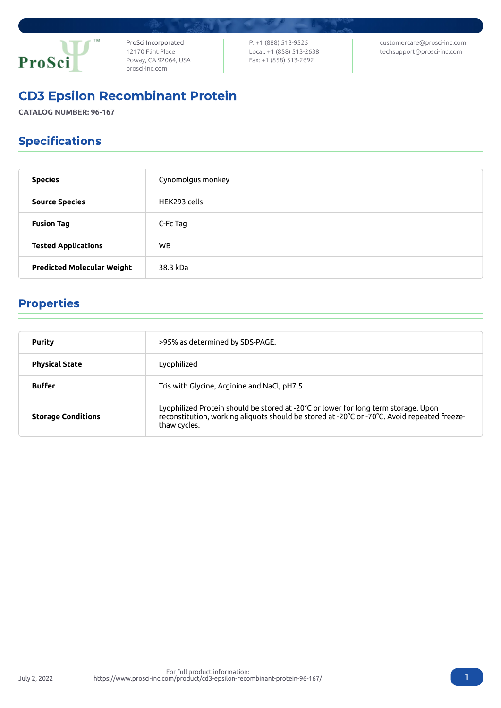

ProSci Incorporated 12170 Flint Place Poway, CA 92064, USA [prosci-inc.com](https://prosci-inc.com/)

P: +1 (888) 513-9525 Local: +1 (858) 513-2638 Fax: +1 (858) 513-2692

[customercare@prosci-inc.com](mailto:customercare@prosci-inc.com) [techsupport@prosci-inc.com](mailto:techsupport@prosci-inc.com)

# CD3 Epsilon Recombinant Protein

**CATALOG NUMBER: 96-167**

## Specifications

| <b>Species</b>                    | Cynomolgus monkey |
|-----------------------------------|-------------------|
| <b>Source Species</b>             | HEK293 cells      |
| <b>Fusion Tag</b>                 | C-Fc Tag          |
| <b>Tested Applications</b>        | WB.               |
| <b>Predicted Molecular Weight</b> | 38.3 kDa          |

### Properties

| <b>Purity</b>             | >95% as determined by SDS-PAGE.                                                                                                                                                                   |
|---------------------------|---------------------------------------------------------------------------------------------------------------------------------------------------------------------------------------------------|
| <b>Physical State</b>     | Lyophilized                                                                                                                                                                                       |
| <b>Buffer</b>             | Tris with Glycine, Arginine and NaCl, pH7.5                                                                                                                                                       |
| <b>Storage Conditions</b> | Lyophilized Protein should be stored at -20°C or lower for long term storage. Upon<br>reconstitution, working aliquots should be stored at -20°C or -70°C. Avoid repeated freeze-<br>thaw cycles. |